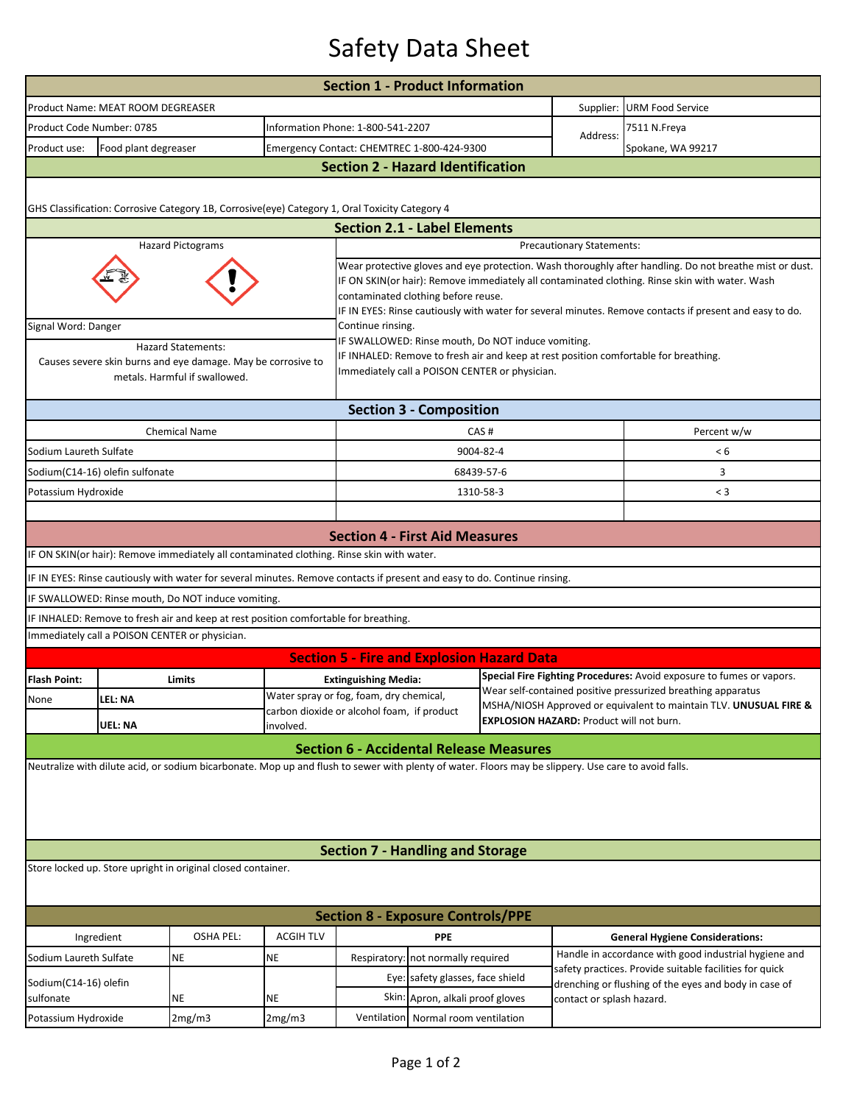## Safety Data Sheet

|                                                                                                                                                      |                                          |                                                                                                                            |                                                                                                                                                                                                                                                                                                                                                             | <b>Section 1 - Product Information</b>                                                |                                            |                                                                                                                  |                                                                                                                                      |                                                       |  |  |  |  |  |
|------------------------------------------------------------------------------------------------------------------------------------------------------|------------------------------------------|----------------------------------------------------------------------------------------------------------------------------|-------------------------------------------------------------------------------------------------------------------------------------------------------------------------------------------------------------------------------------------------------------------------------------------------------------------------------------------------------------|---------------------------------------------------------------------------------------|--------------------------------------------|------------------------------------------------------------------------------------------------------------------|--------------------------------------------------------------------------------------------------------------------------------------|-------------------------------------------------------|--|--|--|--|--|
|                                                                                                                                                      | Product Name: MEAT ROOM DEGREASER        |                                                                                                                            |                                                                                                                                                                                                                                                                                                                                                             |                                                                                       |                                            | Supplier:                                                                                                        | URM Food Service                                                                                                                     |                                                       |  |  |  |  |  |
| Product Code Number: 0785                                                                                                                            |                                          |                                                                                                                            |                                                                                                                                                                                                                                                                                                                                                             | Information Phone: 1-800-541-2207                                                     |                                            |                                                                                                                  | Address:                                                                                                                             | 7511 N.Freya                                          |  |  |  |  |  |
| Product use:                                                                                                                                         | Food plant degreaser                     |                                                                                                                            |                                                                                                                                                                                                                                                                                                                                                             |                                                                                       | Emergency Contact: CHEMTREC 1-800-424-9300 |                                                                                                                  |                                                                                                                                      | Spokane, WA 99217                                     |  |  |  |  |  |
|                                                                                                                                                      | <b>Section 2 - Hazard Identification</b> |                                                                                                                            |                                                                                                                                                                                                                                                                                                                                                             |                                                                                       |                                            |                                                                                                                  |                                                                                                                                      |                                                       |  |  |  |  |  |
|                                                                                                                                                      |                                          |                                                                                                                            |                                                                                                                                                                                                                                                                                                                                                             |                                                                                       |                                            |                                                                                                                  |                                                                                                                                      |                                                       |  |  |  |  |  |
|                                                                                                                                                      |                                          | GHS Classification: Corrosive Category 1B, Corrosive(eye) Category 1, Oral Toxicity Category 4                             |                                                                                                                                                                                                                                                                                                                                                             |                                                                                       |                                            |                                                                                                                  |                                                                                                                                      |                                                       |  |  |  |  |  |
|                                                                                                                                                      |                                          |                                                                                                                            |                                                                                                                                                                                                                                                                                                                                                             | <b>Section 2.1 - Label Elements</b>                                                   |                                            |                                                                                                                  |                                                                                                                                      |                                                       |  |  |  |  |  |
|                                                                                                                                                      |                                          | <b>Hazard Pictograms</b>                                                                                                   |                                                                                                                                                                                                                                                                                                                                                             | <b>Precautionary Statements:</b>                                                      |                                            |                                                                                                                  |                                                                                                                                      |                                                       |  |  |  |  |  |
|                                                                                                                                                      |                                          |                                                                                                                            | Wear protective gloves and eye protection. Wash thoroughly after handling. Do not breathe mist or dust.<br>IF ON SKIN(or hair): Remove immediately all contaminated clothing. Rinse skin with water. Wash<br>contaminated clothing before reuse.<br>IF IN EYES: Rinse cautiously with water for several minutes. Remove contacts if present and easy to do. |                                                                                       |                                            |                                                                                                                  |                                                                                                                                      |                                                       |  |  |  |  |  |
| Signal Word: Danger                                                                                                                                  |                                          |                                                                                                                            |                                                                                                                                                                                                                                                                                                                                                             | Continue rinsing.                                                                     |                                            |                                                                                                                  |                                                                                                                                      |                                                       |  |  |  |  |  |
|                                                                                                                                                      |                                          | <b>Hazard Statements:</b><br>Causes severe skin burns and eye damage. May be corrosive to<br>metals. Harmful if swallowed. | IF SWALLOWED: Rinse mouth, Do NOT induce vomiting.<br>IF INHALED: Remove to fresh air and keep at rest position comfortable for breathing.<br>Immediately call a POISON CENTER or physician.                                                                                                                                                                |                                                                                       |                                            |                                                                                                                  |                                                                                                                                      |                                                       |  |  |  |  |  |
| <b>Section 3 - Composition</b>                                                                                                                       |                                          |                                                                                                                            |                                                                                                                                                                                                                                                                                                                                                             |                                                                                       |                                            |                                                                                                                  |                                                                                                                                      |                                                       |  |  |  |  |  |
|                                                                                                                                                      |                                          | <b>Chemical Name</b>                                                                                                       |                                                                                                                                                                                                                                                                                                                                                             | CAS#                                                                                  |                                            |                                                                                                                  |                                                                                                                                      | Percent w/w                                           |  |  |  |  |  |
| Sodium Laureth Sulfate                                                                                                                               |                                          |                                                                                                                            |                                                                                                                                                                                                                                                                                                                                                             | 9004-82-4                                                                             |                                            |                                                                                                                  |                                                                                                                                      | < 6                                                   |  |  |  |  |  |
|                                                                                                                                                      | Sodium(C14-16) olefin sulfonate          |                                                                                                                            |                                                                                                                                                                                                                                                                                                                                                             |                                                                                       |                                            | 68439-57-6                                                                                                       |                                                                                                                                      | 3                                                     |  |  |  |  |  |
| Potassium Hydroxide                                                                                                                                  |                                          |                                                                                                                            |                                                                                                                                                                                                                                                                                                                                                             |                                                                                       |                                            | 1310-58-3                                                                                                        |                                                                                                                                      | $<$ 3                                                 |  |  |  |  |  |
|                                                                                                                                                      |                                          |                                                                                                                            |                                                                                                                                                                                                                                                                                                                                                             |                                                                                       |                                            |                                                                                                                  |                                                                                                                                      |                                                       |  |  |  |  |  |
|                                                                                                                                                      |                                          |                                                                                                                            |                                                                                                                                                                                                                                                                                                                                                             | <b>Section 4 - First Aid Measures</b>                                                 |                                            |                                                                                                                  |                                                                                                                                      |                                                       |  |  |  |  |  |
|                                                                                                                                                      |                                          | IF ON SKIN(or hair): Remove immediately all contaminated clothing. Rinse skin with water.                                  |                                                                                                                                                                                                                                                                                                                                                             |                                                                                       |                                            |                                                                                                                  |                                                                                                                                      |                                                       |  |  |  |  |  |
|                                                                                                                                                      |                                          | IF IN EYES: Rinse cautiously with water for several minutes. Remove contacts if present and easy to do. Continue rinsing.  |                                                                                                                                                                                                                                                                                                                                                             |                                                                                       |                                            |                                                                                                                  |                                                                                                                                      |                                                       |  |  |  |  |  |
|                                                                                                                                                      |                                          | IF SWALLOWED: Rinse mouth, Do NOT induce vomiting.                                                                         |                                                                                                                                                                                                                                                                                                                                                             |                                                                                       |                                            |                                                                                                                  |                                                                                                                                      |                                                       |  |  |  |  |  |
|                                                                                                                                                      |                                          | IF INHALED: Remove to fresh air and keep at rest position comfortable for breathing.                                       |                                                                                                                                                                                                                                                                                                                                                             |                                                                                       |                                            |                                                                                                                  |                                                                                                                                      |                                                       |  |  |  |  |  |
|                                                                                                                                                      |                                          | Immediately call a POISON CENTER or physician.                                                                             |                                                                                                                                                                                                                                                                                                                                                             |                                                                                       |                                            |                                                                                                                  |                                                                                                                                      |                                                       |  |  |  |  |  |
|                                                                                                                                                      |                                          |                                                                                                                            |                                                                                                                                                                                                                                                                                                                                                             | <b>Section 5 - Fire and Explosion Hazard Data</b>                                     |                                            |                                                                                                                  |                                                                                                                                      |                                                       |  |  |  |  |  |
| <b>Flash Point:</b>                                                                                                                                  |                                          | Limits                                                                                                                     |                                                                                                                                                                                                                                                                                                                                                             | <b>Extinguishing Media:</b>                                                           |                                            |                                                                                                                  | Special Fire Fighting Procedures: Avoid exposure to fumes or vapors.<br>Wear self-contained positive pressurized breathing apparatus |                                                       |  |  |  |  |  |
| None                                                                                                                                                 | LEL: NA                                  |                                                                                                                            |                                                                                                                                                                                                                                                                                                                                                             | Water spray or fog, foam, dry chemical,<br>carbon dioxide or alcohol foam, if product |                                            |                                                                                                                  | MSHA/NIOSH Approved or equivalent to maintain TLV. UNUSUAL FIRE &                                                                    |                                                       |  |  |  |  |  |
|                                                                                                                                                      | UEL: NA                                  |                                                                                                                            | <b>EXPLOSION HAZARD: Product will not burn.</b><br>involved.                                                                                                                                                                                                                                                                                                |                                                                                       |                                            |                                                                                                                  |                                                                                                                                      |                                                       |  |  |  |  |  |
|                                                                                                                                                      |                                          |                                                                                                                            |                                                                                                                                                                                                                                                                                                                                                             | <b>Section 6 - Accidental Release Measures</b>                                        |                                            |                                                                                                                  |                                                                                                                                      |                                                       |  |  |  |  |  |
| Neutralize with dilute acid, or sodium bicarbonate. Mop up and flush to sewer with plenty of water. Floors may be slippery. Use care to avoid falls. |                                          |                                                                                                                            |                                                                                                                                                                                                                                                                                                                                                             |                                                                                       |                                            |                                                                                                                  |                                                                                                                                      |                                                       |  |  |  |  |  |
|                                                                                                                                                      |                                          |                                                                                                                            |                                                                                                                                                                                                                                                                                                                                                             | <b>Section 7 - Handling and Storage</b>                                               |                                            |                                                                                                                  |                                                                                                                                      |                                                       |  |  |  |  |  |
| Store locked up. Store upright in original closed container.                                                                                         |                                          |                                                                                                                            |                                                                                                                                                                                                                                                                                                                                                             |                                                                                       |                                            |                                                                                                                  |                                                                                                                                      |                                                       |  |  |  |  |  |
| <b>Section 8 - Exposure Controls/PPE</b>                                                                                                             |                                          |                                                                                                                            |                                                                                                                                                                                                                                                                                                                                                             |                                                                                       |                                            |                                                                                                                  |                                                                                                                                      |                                                       |  |  |  |  |  |
| Ingredient                                                                                                                                           |                                          | <b>OSHA PEL:</b>                                                                                                           | <b>ACGIH TLV</b>                                                                                                                                                                                                                                                                                                                                            | <b>PPE</b>                                                                            |                                            |                                                                                                                  |                                                                                                                                      | <b>General Hygiene Considerations:</b>                |  |  |  |  |  |
| Sodium Laureth Sulfate                                                                                                                               |                                          | <b>NE</b>                                                                                                                  | NE                                                                                                                                                                                                                                                                                                                                                          | Respiratory: not normally required                                                    |                                            |                                                                                                                  |                                                                                                                                      | Handle in accordance with good industrial hygiene and |  |  |  |  |  |
| Sodium(C14-16) olefin                                                                                                                                |                                          |                                                                                                                            |                                                                                                                                                                                                                                                                                                                                                             | Eye: safety glasses, face shield                                                      |                                            | safety practices. Provide suitable facilities for quick<br>drenching or flushing of the eyes and body in case of |                                                                                                                                      |                                                       |  |  |  |  |  |
| sulfonate                                                                                                                                            |                                          | <b>NE</b>                                                                                                                  | NE                                                                                                                                                                                                                                                                                                                                                          | Skin: Apron, alkali proof gloves                                                      |                                            |                                                                                                                  | contact or splash hazard.                                                                                                            |                                                       |  |  |  |  |  |
| Potassium Hydroxide                                                                                                                                  |                                          | 2mg/m3                                                                                                                     | 2mg/m3                                                                                                                                                                                                                                                                                                                                                      | Ventilation                                                                           | Normal room ventilation                    |                                                                                                                  |                                                                                                                                      |                                                       |  |  |  |  |  |